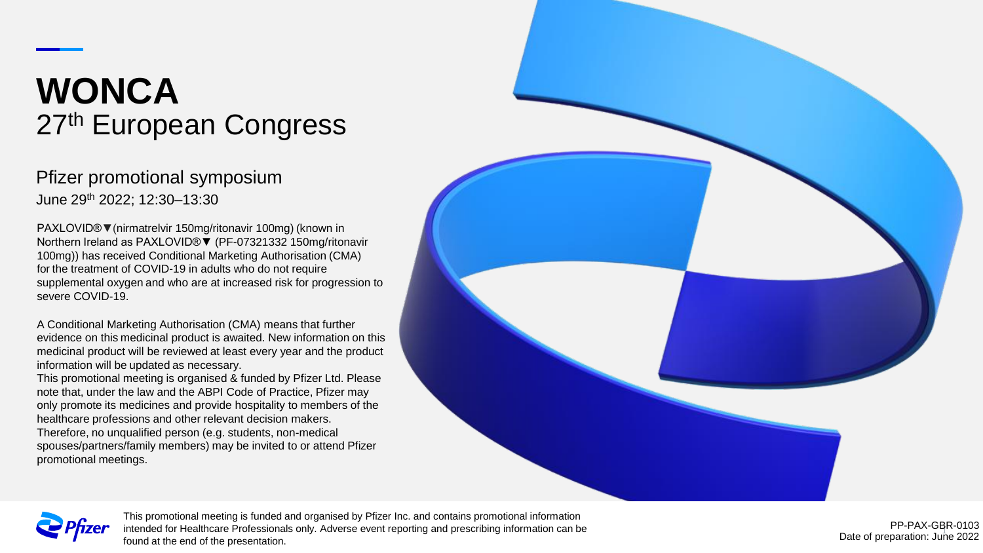# **WONCA** 27<sup>th</sup> European Congress

### Pfizer promotional symposium June 29th 2022; 12:30–13:30

PAXLOVID®**▼**(nirmatrelvir 150mg/ritonavir 100mg) (known in Northern Ireland as PAXLOVID®▼ (PF-07321332 150mg/ritonavir 100mg)) has received Conditional Marketing Authorisation (CMA) for the treatment of COVID-19 in adults who do not require supplemental oxygen and who are at increased risk for progression to severe COVID-19.

A Conditional Marketing Authorisation (CMA) means that further evidence on this medicinal product is awaited. New information on this medicinal product will be reviewed at least every year and the product information will be updated as necessary.

This promotional meeting is organised & funded by Pfizer Ltd. Please note that, under the law and the ABPI Code of Practice, Pfizer may only promote its medicines and provide hospitality to members of the healthcare professions and other relevant decision makers. Therefore, no unqualified person (e.g. students, non-medical

spouses/partners/family members) may be invited to or attend Pfizer promotional meetings.





This promotional meeting is funded and organised by Pfizer Inc. and contains promotional information intended for Healthcare Professionals only. Adverse event reporting and prescribing information can be found at the end of the presentation.

1 Date of preparation: June 2022 PP-PAX-GBR-0103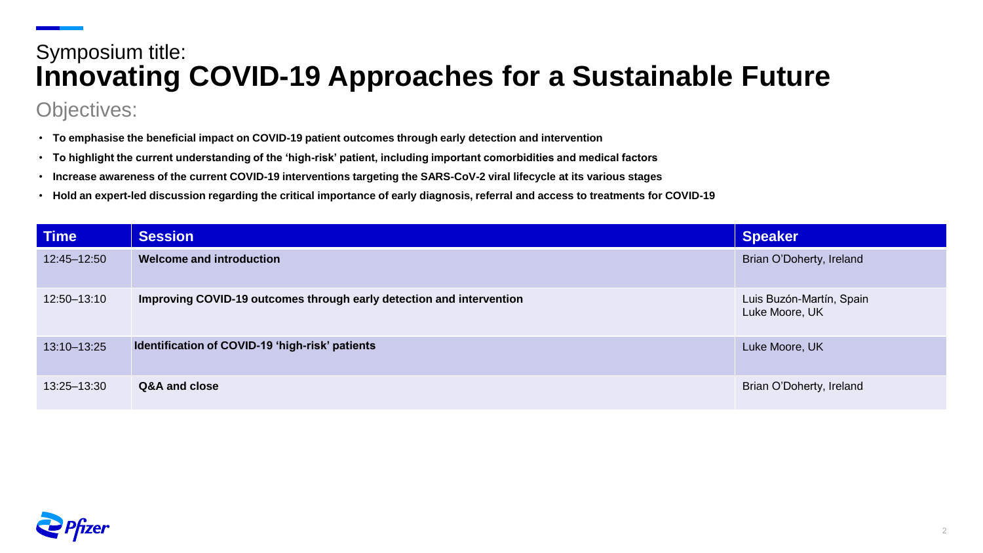## Symposium title: **Innovating COVID-19 Approaches for a Sustainable Future**

## Objectives:

- **To emphasise the beneficial impact on COVID-19 patient outcomes through early detection and intervention**
- **To highlight the current understanding of the 'high-risk' patient, including important comorbidities and medical factors**
- **Increase awareness of the current COVID-19 interventions targeting the SARS-CoV-2 viral lifecycle at its various stages**
- **Hold an expert-led discussion regarding the critical importance of early diagnosis, referral and access to treatments for COVID-19**

| <b>Time</b> | <b>Session</b>                                                       | <b>Speaker</b>                             |
|-------------|----------------------------------------------------------------------|--------------------------------------------|
| 12:45-12:50 | <b>Welcome and introduction</b>                                      | Brian O'Doherty, Ireland                   |
| 12:50-13:10 | Improving COVID-19 outcomes through early detection and intervention | Luis Buzón-Martín, Spain<br>Luke Moore, UK |
| 13:10-13:25 | Identification of COVID-19 'high-risk' patients                      | Luke Moore, UK                             |
| 13:25-13:30 | Q&A and close                                                        | Brian O'Doherty, Ireland                   |

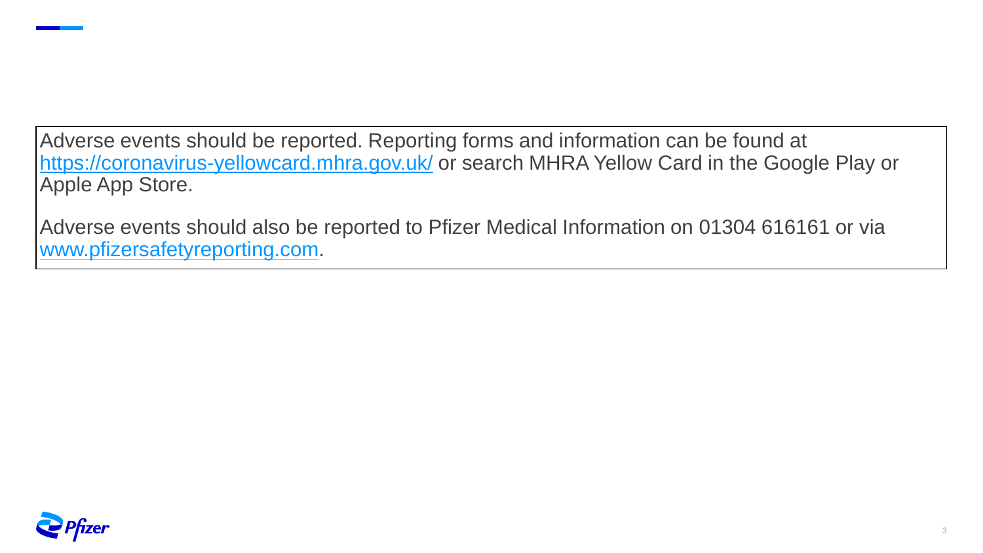Adverse events should be reported. Reporting forms and information can be found at <https://coronavirus-yellowcard.mhra.gov.uk/> or search MHRA Yellow Card in the Google Play or Apple App Store.

Adverse events should also be reported to Pfizer Medical Information on 01304 616161 or via [www.pfizersafetyreporting.com](http://www.pfizersafetyreporting.com/).

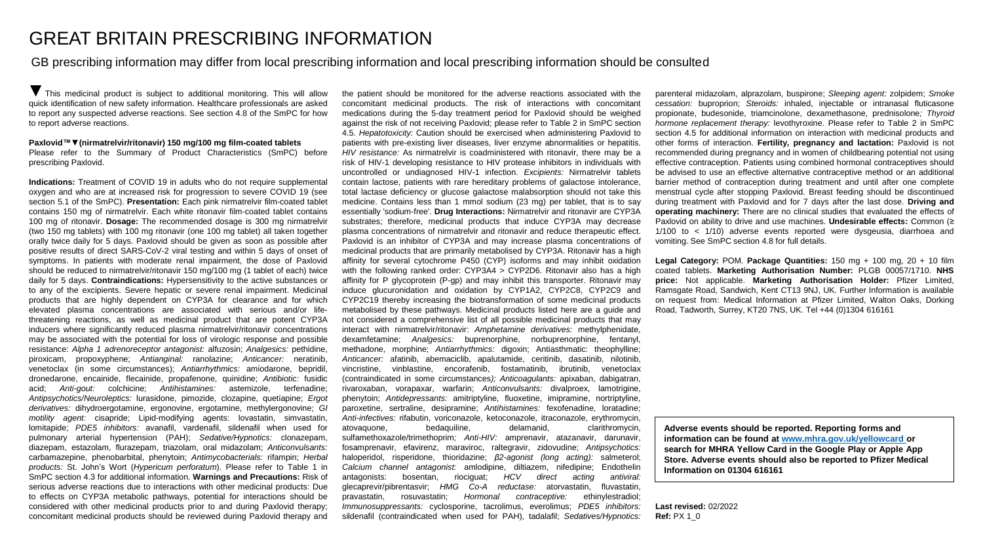#### GREAT BRITAIN PRESCRIBING INFORMATION

GB prescribing information may differ from local prescribing information and local prescribing information should be consulted

**▼** This medicinal product is subject to additional monitoring. This will allow quick identification of new safety information. Healthcare professionals are asked to report any suspected adverse reactions. See section 4.8 of the SmPC for how to report adverse reactions.

#### **Paxlovid™▼(nirmatrelvir/ritonavir) 150 mg/100 mg film-coated tablets**

Please refer to the Summary of Product Characteristics (SmPC) before prescribing Paxlovid.

**Indications:** Treatment of COVID 19 in adults who do not require supplemental oxygen and who are at increased risk for progression to severe COVID 19 (see section 5.1 of the SmPC). **Presentation:** Each pink nirmatrelvir film-coated tablet contains 150 mg of nirmatrelvir. Each white ritonavir film-coated tablet contains 100 mg of ritonavir. **Dosage:** The recommended dosage is 300 mg nirmatrelvir (two 150 mg tablets) with 100 mg ritonavir (one 100 mg tablet) all taken together orally twice daily for 5 days. Paxlovid should be given as soon as possible after positive results of direct SARS-CoV-2 viral testing and within 5 days of onset of symptoms. In patients with moderate renal impairment, the dose of Paxlovid should be reduced to nirmatrelvir/ritonavir 150 mg/100 mg (1 tablet of each) twice daily for 5 days. **Contraindications:** Hypersensitivity to the active substances or to any of the excipients. Severe hepatic or severe renal impairment. Medicinal products that are highly dependent on CYP3A for clearance and for which elevated plasma concentrations are associated with serious and/or lifethreatening reactions, as well as medicinal product that are potent CYP3A inducers where significantly reduced plasma nirmatrelvir/ritonavir concentrations may be associated with the potential for loss of virologic response and possible resistance: *Alpha 1 adrenoreceptor antagonist:* alfuzosin; *Analgesics:* pethidine, piroxicam, propoxyphene; *Antianginal:* ranolazine; *Anticancer:* neratinib, venetoclax (in some circumstances); *Antiarrhythmics:* amiodarone, bepridil, dronedarone, encainide, flecainide, propafenone, quinidine; *Antibiotic:* fusidic acid; *Anti-gout:* colchicine; *Antihistamines:* astemizole, terfenadine; *Antipsychotics/Neuroleptics:* lurasidone, pimozide, clozapine, quetiapine; *Ergot derivatives:* dihydroergotamine, ergonovine, ergotamine, methylergonovine; *GI motility agent:* cisapride; Lipid-modifying agents: lovastatin, simvastatin, lomitapide; *PDE5 inhibitors:* avanafil, vardenafil, sildenafil when used for pulmonary arterial hypertension (PAH); *Sedative/Hypnotics:* clonazepam, diazepam, estazolam, flurazepam, triazolam, oral midazolam; *Anticonvulsants:* carbamazepine, phenobarbital, phenytoin; *Antimycobacterials:* rifampin; *Herbal products:* St. John's Wort (*Hypericum perforatum*). Please refer to Table 1 in SmPC section 4.3 for additional information. **Warnings and Precautions:** Risk of serious adverse reactions due to interactions with other medicinal products: Due to effects on CYP3A metabolic pathways, potential for interactions should be considered with other medicinal products prior to and during Paxlovid therapy; concomitant medicinal products should be reviewed during Paxlovid therapy and

the patient should be monitored for the adverse reactions associated with the concomitant medicinal products. The risk of interactions with concomitant medications during the 5-day treatment period for Paxlovid should be weighed against the risk of not receiving Paxlovid; please refer to Table 2 in SmPC section 4.5. *Hepatotoxicity:* Caution should be exercised when administering Paxlovid to patients with pre-existing liver diseases, liver enzyme abnormalities or hepatitis. *HIV resistance:* As nirmatrelvir is coadministered with ritonavir, there may be a risk of HIV-1 developing resistance to HIV protease inhibitors in individuals with uncontrolled or undiagnosed HIV-1 infection. *Excipients:* Nirmatrelvir tablets contain lactose, patients with rare hereditary problems of galactose intolerance, total lactase deficiency or glucose galactose malabsorption should not take this medicine. Contains less than 1 mmol sodium (23 mg) per tablet, that is to say essentially 'sodium-free'. **Drug Interactions:** Nirmatrelvir and ritonavir are CYP3A substrates; therefore, medicinal products that induce CYP3A may decrease plasma concentrations of nirmatrelvir and ritonavir and reduce therapeutic effect. Paxlovid is an inhibitor of CYP3A and may increase plasma concentrations of medicinal products that are primarily metabolised by CYP3A. Ritonavir has a high affinity for several cytochrome P450 (CYP) isoforms and may inhibit oxidation with the following ranked order: CYP3A4 > CYP2D6. Ritonavir also has a high affinity for P glycoprotein (P-gp) and may inhibit this transporter. Ritonavir may induce glucuronidation and oxidation by CYP1A2, CYP2C8, CYP2C9 and CYP2C19 thereby increasing the biotransformation of some medicinal products metabolised by these pathways. Medicinal products listed here are a guide and not considered a comprehensive list of all possible medicinal products that may interact with nirmatrelvir/ritonavir: *Amphetamine derivatives:* methylphenidate, dexamfetamine; *Analgesics:* buprenorphine, norbuprenorphine, fentanyl, methadone, morphine; *Antiarrhythmics:* digoxin; Antiasthmatic: theophylline; *Anticancer:* afatinib, abemaciclib, apalutamide, ceritinib, dasatinib, nilotinib, vincristine, vinblastine, encorafenib, fostamatinib, ibrutinib, venetoclax (contraindicated in some circumstances*); Anticoagulants:* apixaban, dabigatran, rivaroxaban, vorapaxar, warfarin; *Anticonvulsants:* divalproex, lamotrigine, phenytoin; *Antidepressants:* amitriptyline, fluoxetine, imipramine, nortriptyline, paroxetine, sertraline, desipramine; *Antihistamines:* fexofenadine, loratadine; *Anti-infectives:* rifabutin, voriconazole, ketoconazole, itraconazole, erythromycin, atovaquone, bedaquiline, delamanid, clarithromycin, sulfamethoxazole/trimethoprim*; Anti-HIV:* amprenavir, atazanavir, darunavir, fosamprenavir, efavirenz, maraviroc, raltegravir, zidovudine; *Antipsychotics:* haloperidol, risperidone, thioridazine; *β2-agonist (long acting):* salmeterol; *Calcium channel antagonist:* amlodipine, diltiazem, nifedipine; Endothelin antagonists: bosentan, riociguat; *HCV direct acting antiviral:* glecaprevir/pibrentasvir; *HMG Co-A reductase:* atorvastatin, fluvastatin, pravastatin, rosuvastatin; *Hormonal contraceptive:* ethinylestradiol; *Immunosuppressants:* cyclosporine, tacrolimus, everolimus; *PDE5 inhibitors:* sildenafil (contraindicated when used for PAH), tadalafil; *Sedatives/Hypnotics:* parenteral midazolam, alprazolam, buspirone; *Sleeping agent:* zolpidem; *Smoke cessation:* buproprion; *Steroids:* inhaled, injectable or intranasal fluticasone propionate, budesonide, triamcinolone, dexamethasone, prednisolone*; Thyroid hormone replacement therapy:* levothyroxine. Please refer to Table 2 in SmPC section 4.5 for additional information on interaction with medicinal products and other forms of interaction. **Fertility, pregnancy and lactation:** Paxlovid is not recommended during pregnancy and in women of childbearing potential not using effective contraception. Patients using combined hormonal contraceptives should be advised to use an effective alternative contraceptive method or an additional barrier method of contraception during treatment and until after one complete menstrual cycle after stopping Paxlovid. Breast feeding should be discontinued during treatment with Paxlovid and for 7 days after the last dose. **Driving and operating machinery:** There are no clinical studies that evaluated the effects of Paxlovid on ability to drive and use machines. **Undesirable effects:** Common (≥ 1/100 to < 1/10) adverse events reported were dysgeusia, diarrhoea and vomiting. See SmPC section 4.8 for full details.

**Legal Category:** POM. **Package Quantities:** 150 mg + 100 mg, 20 + 10 film coated tablets. **Marketing Authorisation Number:** PLGB 00057/1710. **NHS price:** Not applicable. **Marketing Authorisation Holder:** Pfizer Limited, Ramsgate Road, Sandwich, Kent CT13 9NJ, UK. Further Information is available on request from: Medical Information at Pfizer Limited, Walton Oaks, Dorking Road, Tadworth, Surrey, KT20 7NS, UK. Tel +44 (0)1304 616161

**Adverse events should be reported. Reporting forms and information can be found at [www.mhra.gov.uk/yellowcard](http://www.mhra.gov.uk/yellowcard) or search for MHRA Yellow Card in the Google Play or Apple App Store. Adverse events should also be reported to Pfizer Medical Information on 01304 616161**

**Last revised:** 02/2022 **Ref:** PX 1\_0